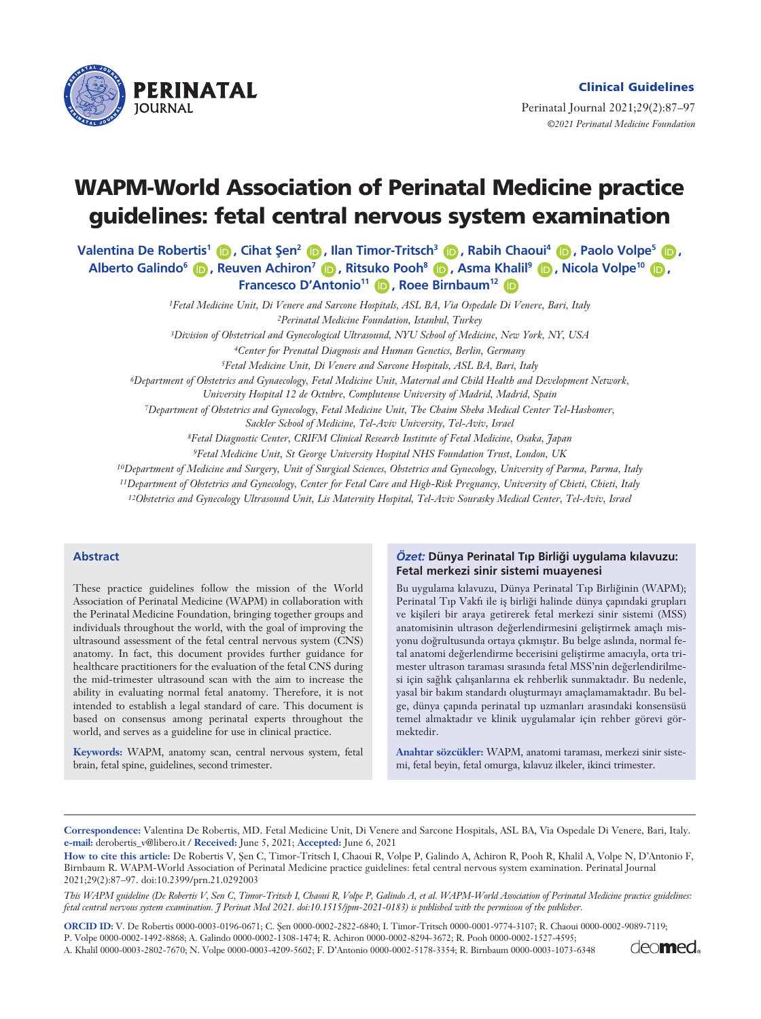

Perinatal Journal 2021;29(2):87–97 *©2021 Perinatal Medicine Foundation* 

# **WAPM-World Association of Perinatal Medicine practice guidelines: fetal central nervous system examination**

**Valentina De Robertis<sup>1</sup> <b>D** , Cihat Şen<sup>2</sup> **D** , Ilan Timor-Tritsch<sup>3</sup> **D** , Rabih Chaoui<sup>4</sup> **D** , Paolo Volpe<sup>5</sup> **D** , **Alberto Galindo<sup>6</sup> <b>D**, Reuven Achiron<sup>7</sup> **D**, Ritsuko Pooh<sup>8</sup> D, Asma Khalil<sup>9</sup> D, Nicola Volpe<sup>10</sup> D, **Francesco D'Antonio<sup>11</sup> (D), Roee Birnbaum<sup>12</sup> (D)** 

> *1Fetal Medicine Unit, Di Venere and Sarcone Hospitals, ASL BA, Via Ospedale Di Venere, Bari, Italy 2Perinatal Medicine Foundation, Istanbul, Turkey*

> *3Division of Obstetrical and Gynecological Ultrasound, NYU School of Medicine, New York, NY, USA*

*4Center for Prenatal Diagnosis and Human Genetics, Berlin, Germany*

*5Fetal Medicine Unit, Di Venere and Sarcone Hospitals, ASL BA, Bari, Italy*

*6Department of Obstetrics and Gynaecology, Fetal Medicine Unit, Maternal and Child Health and Development Network,*

*University Hospital 12 de Octubre, Complutense University of Madrid, Madrid, Spain*

*7Department of Obstetrics and Gynecology, Fetal Medicine Unit, The Chaim Sheba Medical Center Tel-Hashomer,*

*Sackler School of Medicine, Tel-Aviv University, Tel-Aviv, Israel*

*8Fetal Diagnostic Center, CRIFM Clinical Research Institute of Fetal Medicine, Osaka, Japan*

*9Fetal Medicine Unit, St George University Hospital NHS Foundation Trust, London, UK*

*10Department of Medicine and Surgery, Unit of Surgical Sciences, Obstetrics and Gynecology, University of Parma, Parma, Italy*

*11Department of Obstetrics and Gynecology, Center for Fetal Care and High-Risk Pregnancy, University of Chieti, Chieti, Italy*

*12Obstetrics and Gynecology Ultrasound Unit, Lis Maternity Hospital, Tel-Aviv Sourasky Medical Center, Tel-Aviv, Israel*

## **Abstract**

These practice guidelines follow the mission of the World Association of Perinatal Medicine (WAPM) in collaboration with the Perinatal Medicine Foundation, bringing together groups and individuals throughout the world, with the goal of improving the ultrasound assessment of the fetal central nervous system (CNS) anatomy. In fact, this document provides further guidance for healthcare practitioners for the evaluation of the fetal CNS during the mid-trimester ultrasound scan with the aim to increase the ability in evaluating normal fetal anatomy. Therefore, it is not intended to establish a legal standard of care. This document is based on consensus among perinatal experts throughout the world, and serves as a guideline for use in clinical practice.

**Keywords:** WAPM, anatomy scan, central nervous system, fetal brain, fetal spine, guidelines, second trimester.

#### *Özet:* **Dünya Perinatal T›p Birli¤i uygulama k›lavuzu: Fetal merkezi sinir sistemi muayenesi**

Bu uygulama kılavuzu, Dünya Perinatal Tıp Birliğinin (WAPM); Perinatal Tıp Vakfı ile iş birliği halinde dünya çapındaki grupları ve kişileri bir araya getirerek fetal merkezi sinir sistemi (MSS) anatomisinin ultrason değerlendirmesini geliştirmek amaçlı misyonu doğrultusunda ortaya çıkmıştır. Bu belge aslında, normal fetal anatomi değerlendirme becerisini geliştirme amacıyla, orta trimester ultrason taraması sırasında fetal MSS'nin değerlendirilmesi için sağlık çalışanlarına ek rehberlik sunmaktadır. Bu nedenle, yasal bir bakım standardı oluşturmayı amaçlamamaktadır. Bu belge, dünya çapında perinatal tıp uzmanları arasındaki konsensüsü temel almaktadır ve klinik uygulamalar için rehber görevi görmektedir.

Anahtar sözcükler: WAPM, anatomi taraması, merkezi sinir sistemi, fetal beyin, fetal omurga, kılavuz ilkeler, ikinci trimester.

**Correspondence:** Valentina De Robertis, MD. Fetal Medicine Unit, Di Venere and Sarcone Hospitals, ASL BA, Via Ospedale Di Venere, Bari, Italy. **e-mail:** derobertis\_v@libero.it / **Received:** June 5, 2021; **Accepted:** June 6, 2021

How to cite this article: De Robertis V, Şen C, Timor-Tritsch I, Chaoui R, Volpe P, Galindo A, Achiron R, Pooh R, Khalil A, Volpe N, D'Antonio F, Birnbaum R. WAPM-World Association of Perinatal Medicine practice guidelines: fetal central nervous system examination. Perinatal Journal 2021;29(2):87–97. doi:10.2399/prn.21.0292003

*This WAPM guideline (De Robertis V, Sen C, Timor-Tritsch I, Chaoui R, Volpe P, Galindo A, et al. WAPM-World Association of Perinatal Medicine practice guidelines: fetal central nervous system examination. J Perinat Med 2021. doi:10.1515/jpm-2021-0183) is published with the permisson of the publisher.*

**ORCID ID:** V. De Robertis 0000-0003-0196-0671; C. fien 0000-0002-2822-6840; I. Timor-Tritsch 0000-0001-9774-3107; R. Chaoui 0000-0002-9089-7119;

P. Volpe 0000-0002-1492-8868; A. Galindo 0000-0002-1308-1474; R. Achiron 0000-0002-8294-3672; R. Pooh 0000-0002-1527-4595;

A. Khalil 0000-0003-2802-7670; N. Volpe 0000-0003-4209-5602; F. D'Antonio 0000-0002-5178-3354; R. Birnbaum 0000-0003-1073-6348

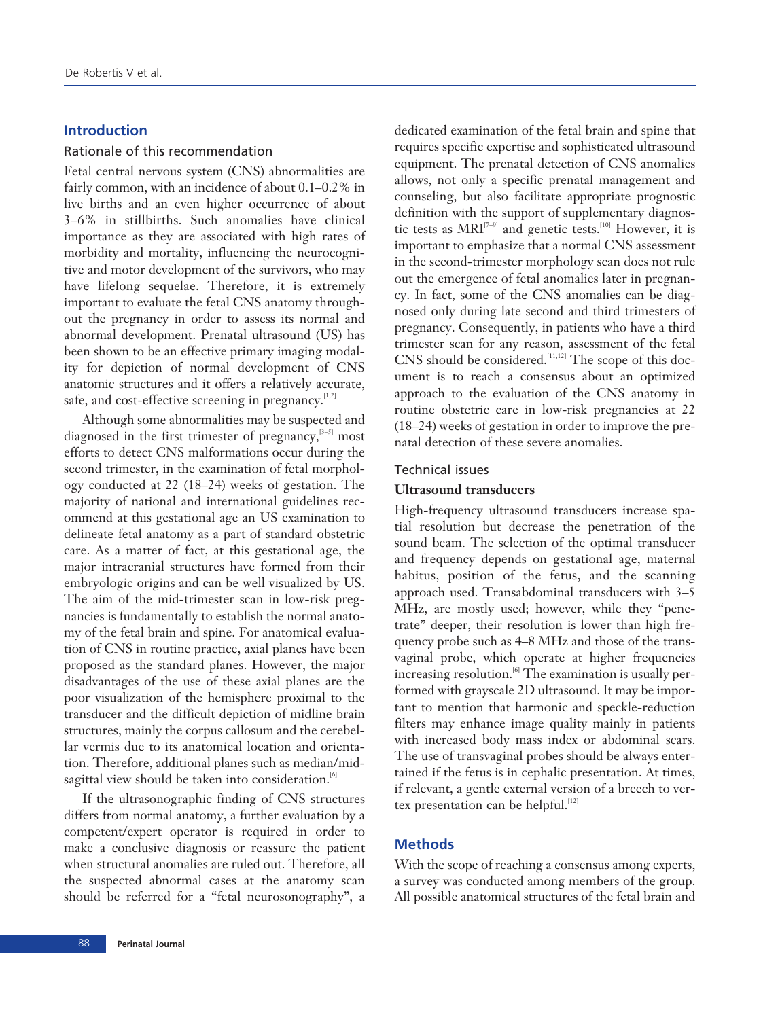# **Introduction**

## Rationale of this recommendation

Fetal central nervous system (CNS) abnormalities are fairly common, with an incidence of about 0.1–0.2% in live births and an even higher occurrence of about 3–6% in stillbirths. Such anomalies have clinical importance as they are associated with high rates of morbidity and mortality, influencing the neurocognitive and motor development of the survivors, who may have lifelong sequelae. Therefore, it is extremely important to evaluate the fetal CNS anatomy throughout the pregnancy in order to assess its normal and abnormal development. Prenatal ultrasound (US) has been shown to be an effective primary imaging modality for depiction of normal development of CNS anatomic structures and it offers a relatively accurate, safe, and cost-effective screening in pregnancy. $[1,2]$ 

Although some abnormalities may be suspected and diagnosed in the first trimester of pregnancy, $[3-5]$  most efforts to detect CNS malformations occur during the second trimester, in the examination of fetal morphology conducted at 22 (18–24) weeks of gestation. The majority of national and international guidelines recommend at this gestational age an US examination to delineate fetal anatomy as a part of standard obstetric care. As a matter of fact, at this gestational age, the major intracranial structures have formed from their embryologic origins and can be well visualized by US. The aim of the mid-trimester scan in low-risk pregnancies is fundamentally to establish the normal anatomy of the fetal brain and spine. For anatomical evaluation of CNS in routine practice, axial planes have been proposed as the standard planes. However, the major disadvantages of the use of these axial planes are the poor visualization of the hemisphere proximal to the transducer and the difficult depiction of midline brain structures, mainly the corpus callosum and the cerebellar vermis due to its anatomical location and orientation. Therefore, additional planes such as median/midsagittal view should be taken into consideration.<sup>[6]</sup>

If the ultrasonographic finding of CNS structures differs from normal anatomy, a further evaluation by a competent/expert operator is required in order to make a conclusive diagnosis or reassure the patient when structural anomalies are ruled out. Therefore, all the suspected abnormal cases at the anatomy scan should be referred for a "fetal neurosonography", a

dedicated examination of the fetal brain and spine that requires specific expertise and sophisticated ultrasound equipment. The prenatal detection of CNS anomalies allows, not only a specific prenatal management and counseling, but also facilitate appropriate prognostic definition with the support of supplementary diagnostic tests as  $MRI^{[7-9]}$  and genetic tests.<sup>[10]</sup> However, it is important to emphasize that a normal CNS assessment in the second-trimester morphology scan does not rule out the emergence of fetal anomalies later in pregnancy. In fact, some of the CNS anomalies can be diagnosed only during late second and third trimesters of pregnancy. Consequently, in patients who have a third trimester scan for any reason, assessment of the fetal  $CNS$  should be considered.<sup>[11,12]</sup> The scope of this document is to reach a consensus about an optimized approach to the evaluation of the CNS anatomy in routine obstetric care in low-risk pregnancies at 22 (18–24) weeks of gestation in order to improve the prenatal detection of these severe anomalies.

# Technical issues

# **Ultrasound transducers**

High-frequency ultrasound transducers increase spatial resolution but decrease the penetration of the sound beam. The selection of the optimal transducer and frequency depends on gestational age, maternal habitus, position of the fetus, and the scanning approach used. Transabdominal transducers with 3–5 MHz, are mostly used; however, while they "penetrate" deeper, their resolution is lower than high frequency probe such as 4–8 MHz and those of the transvaginal probe, which operate at higher frequencies increasing resolution.<sup>[6]</sup> The examination is usually performed with grayscale 2D ultrasound. It may be important to mention that harmonic and speckle-reduction filters may enhance image quality mainly in patients with increased body mass index or abdominal scars. The use of transvaginal probes should be always entertained if the fetus is in cephalic presentation. At times, if relevant, a gentle external version of a breech to vertex presentation can be helpful.<sup>[12]</sup>

# **Methods**

With the scope of reaching a consensus among experts, a survey was conducted among members of the group. All possible anatomical structures of the fetal brain and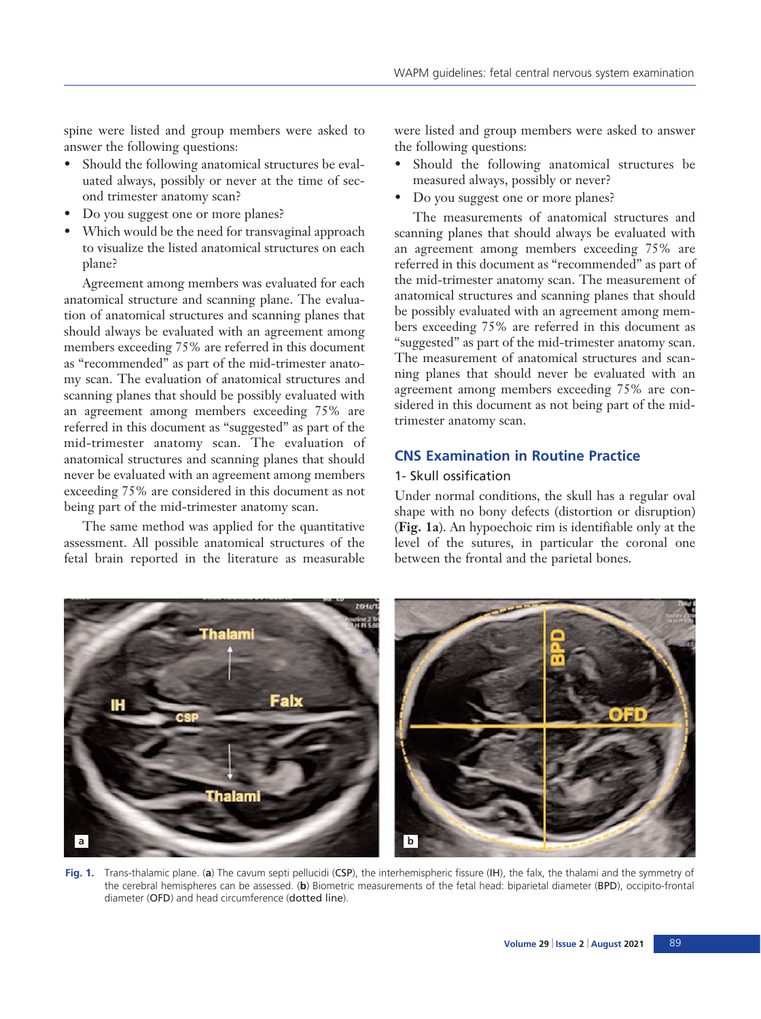spine were listed and group members were asked to answer the following questions:

- Should the following anatomical structures be evaluated always, possibly or never at the time of second trimester anatomy scan?
- Do you suggest one or more planes?
- Which would be the need for transvaginal approach to visualize the listed anatomical structures on each plane?

Agreement among members was evaluated for each anatomical structure and scanning plane. The evaluation of anatomical structures and scanning planes that should always be evaluated with an agreement among members exceeding 75% are referred in this document as "recommended" as part of the mid-trimester anatomy scan. The evaluation of anatomical structures and scanning planes that should be possibly evaluated with an agreement among members exceeding 75% are referred in this document as "suggested" as part of the mid-trimester anatomy scan. The evaluation of anatomical structures and scanning planes that should never be evaluated with an agreement among members exceeding 75% are considered in this document as not being part of the mid-trimester anatomy scan.

The same method was applied for the quantitative assessment. All possible anatomical structures of the fetal brain reported in the literature as measurable were listed and group members were asked to answer the following questions:

- Should the following anatomical structures be measured always, possibly or never?
- Do you suggest one or more planes?

The measurements of anatomical structures and scanning planes that should always be evaluated with an agreement among members exceeding 75% are referred in this document as "recommended" as part of the mid-trimester anatomy scan. The measurement of anatomical structures and scanning planes that should be possibly evaluated with an agreement among members exceeding 75% are referred in this document as "suggested" as part of the mid-trimester anatomy scan. The measurement of anatomical structures and scanning planes that should never be evaluated with an agreement among members exceeding 75% are considered in this document as not being part of the midtrimester anatomy scan.

# **CNS Examination in Routine Practice**

# 1- Skull ossification

Under normal conditions, the skull has a regular oval shape with no bony defects (distortion or disruption) (**Fig. 1a**). An hypoechoic rim is identifiable only at the level of the sutures, in particular the coronal one between the frontal and the parietal bones.



**Fig. 1.** Trans-thalamic plane. (**a**) The cavum septi pellucidi (CSP), the interhemispheric fissure (IH), the falx, the thalami and the symmetry of the cerebral hemispheres can be assessed. (**b**) Biometric measurements of the fetal head: biparietal diameter (BPD), occipito-frontal diameter (OFD) and head circumference (dotted line).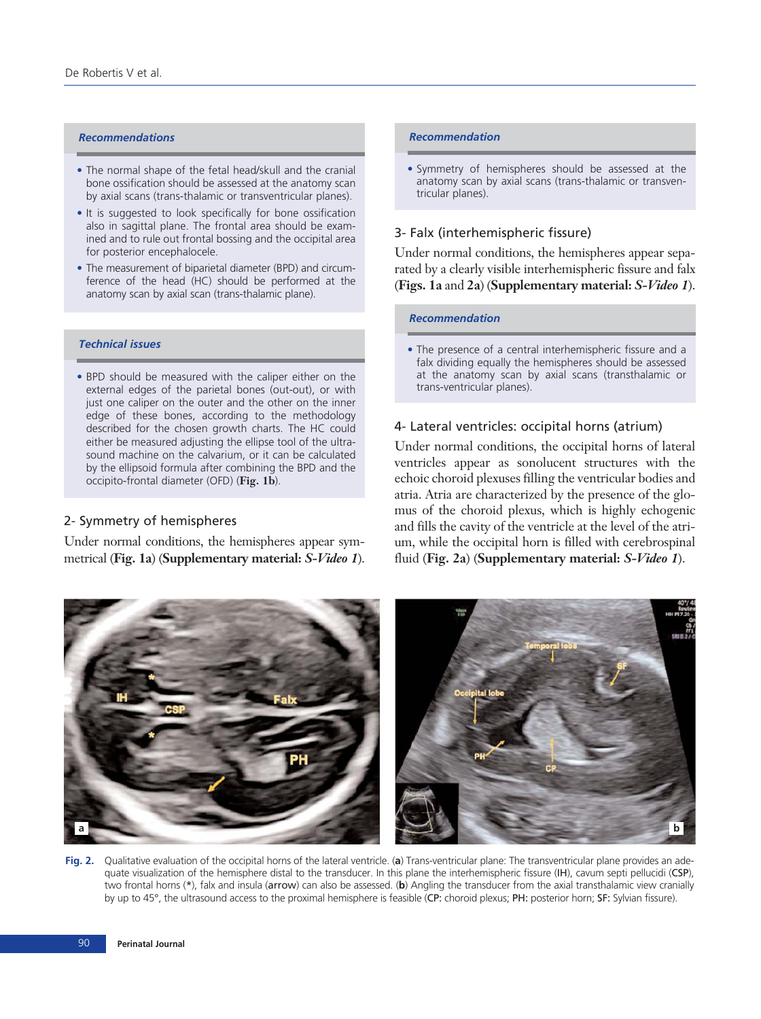## *Recommendations*

- The normal shape of the fetal head/skull and the cranial bone ossification should be assessed at the anatomy scan by axial scans (trans-thalamic or transventricular planes).
- It is suggested to look specifically for bone ossification also in sagittal plane. The frontal area should be examined and to rule out frontal bossing and the occipital area for posterior encephalocele.
- The measurement of biparietal diameter (BPD) and circumference of the head (HC) should be performed at the anatomy scan by axial scan (trans-thalamic plane).

## *Technical issues*

• BPD should be measured with the caliper either on the external edges of the parietal bones (out-out), or with just one caliper on the outer and the other on the inner edge of these bones, according to the methodology described for the chosen growth charts. The HC could either be measured adjusting the ellipse tool of the ultrasound machine on the calvarium, or it can be calculated by the ellipsoid formula after combining the BPD and the occipito-frontal diameter (OFD) (**Fig. 1b**).

## 2- Symmetry of hemispheres

Under normal conditions, the hemispheres appear symmetrical (**Fig. 1a**) (**Supplementary material:** *S-Video 1*).

#### *Recommendation*

• Symmetry of hemispheres should be assessed at the anatomy scan by axial scans (trans-thalamic or transventricular planes).

# 3- Falx (interhemispheric fissure)

Under normal conditions, the hemispheres appear separated by a clearly visible interhemispheric fissure and falx (**Figs. 1a** and **2a**) (**Supplementary material:** *S-Video 1*).

#### *Recommendation*

• The presence of a central interhemispheric fissure and a falx dividing equally the hemispheres should be assessed at the anatomy scan by axial scans (transthalamic or trans-ventricular planes).

## 4- Lateral ventricles: occipital horns (atrium)

Under normal conditions, the occipital horns of lateral ventricles appear as sonolucent structures with the echoic choroid plexuses filling the ventricular bodies and atria. Atria are characterized by the presence of the glomus of the choroid plexus, which is highly echogenic and fills the cavity of the ventricle at the level of the atrium, while the occipital horn is filled with cerebrospinal fluid (**Fig. 2a**) (**Supplementary material:** *S-Video 1*).



**Fig. 2.** Qualitative evaluation of the occipital horns of the lateral ventricle. (**a**) Trans-ventricular plane: The transventricular plane provides an adequate visualization of the hemisphere distal to the transducer. In this plane the interhemispheric fissure (IH), cavum septi pellucidi (CSP), two frontal horns (\*), falx and insula (arrow) can also be assessed. (**b**) Angling the transducer from the axial transthalamic view cranially by up to 45°, the ultrasound access to the proximal hemisphere is feasible (CP: choroid plexus; PH: posterior horn; SF: Sylvian fissure).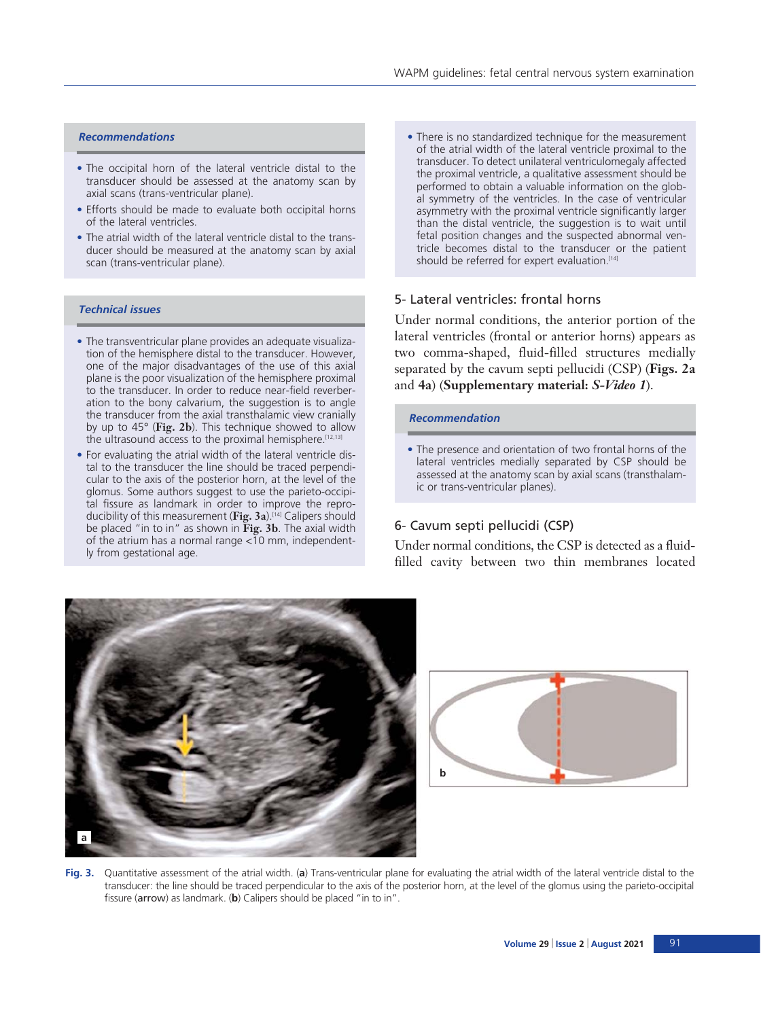## *Recommendations*

- The occipital horn of the lateral ventricle distal to the transducer should be assessed at the anatomy scan by axial scans (trans-ventricular plane).
- Efforts should be made to evaluate both occipital horns of the lateral ventricles.
- The atrial width of the lateral ventricle distal to the transducer should be measured at the anatomy scan by axial scan (trans-ventricular plane).

#### *Technical issues*

- The transventricular plane provides an adequate visualization of the hemisphere distal to the transducer. However, one of the major disadvantages of the use of this axial plane is the poor visualization of the hemisphere proximal to the transducer. In order to reduce near-field reverberation to the bony calvarium, the suggestion is to angle the transducer from the axial transthalamic view cranially by up to 45° (**Fig. 2b**). This technique showed to allow the ultrasound access to the proximal hemisphere.<sup>[12,13]</sup>
- For evaluating the atrial width of the lateral ventricle distal to the transducer the line should be traced perpendicular to the axis of the posterior horn, at the level of the glomus. Some authors suggest to use the parieto-occipital fissure as landmark in order to improve the reproducibility of this measurement (Fig. 3a).<sup>[14]</sup> Calipers should be placed "in to in" as shown in **Fig. 3b**. The axial width of the atrium has a normal range <10 mm, independently from gestational age.

• There is no standardized technique for the measurement of the atrial width of the lateral ventricle proximal to the transducer. To detect unilateral ventriculomegaly affected the proximal ventricle, a qualitative assessment should be performed to obtain a valuable information on the global symmetry of the ventricles. In the case of ventricular asymmetry with the proximal ventricle significantly larger than the distal ventricle, the suggestion is to wait until fetal position changes and the suspected abnormal ventricle becomes distal to the transducer or the patient should be referred for expert evaluation.<sup>[14]</sup>

## 5- Lateral ventricles: frontal horns

Under normal conditions, the anterior portion of the lateral ventricles (frontal or anterior horns) appears as two comma-shaped, fluid-filled structures medially separated by the cavum septi pellucidi (CSP) (**Figs. 2a** and **4a**) (**Supplementary material:** *S-Video 1*).

#### *Recommendation*

• The presence and orientation of two frontal horns of the lateral ventricles medially separated by CSP should be assessed at the anatomy scan by axial scans (transthalamic or trans-ventricular planes).

# 6- Cavum septi pellucidi (CSP)

Under normal conditions, the CSP is detected as a fluidfilled cavity between two thin membranes located





**Fig. 3.** Quantitative assessment of the atrial width. (**a**) Trans-ventricular plane for evaluating the atrial width of the lateral ventricle distal to the transducer: the line should be traced perpendicular to the axis of the posterior horn, at the level of the glomus using the parieto-occipital fissure (arrow) as landmark. (**b**) Calipers should be placed "in to in".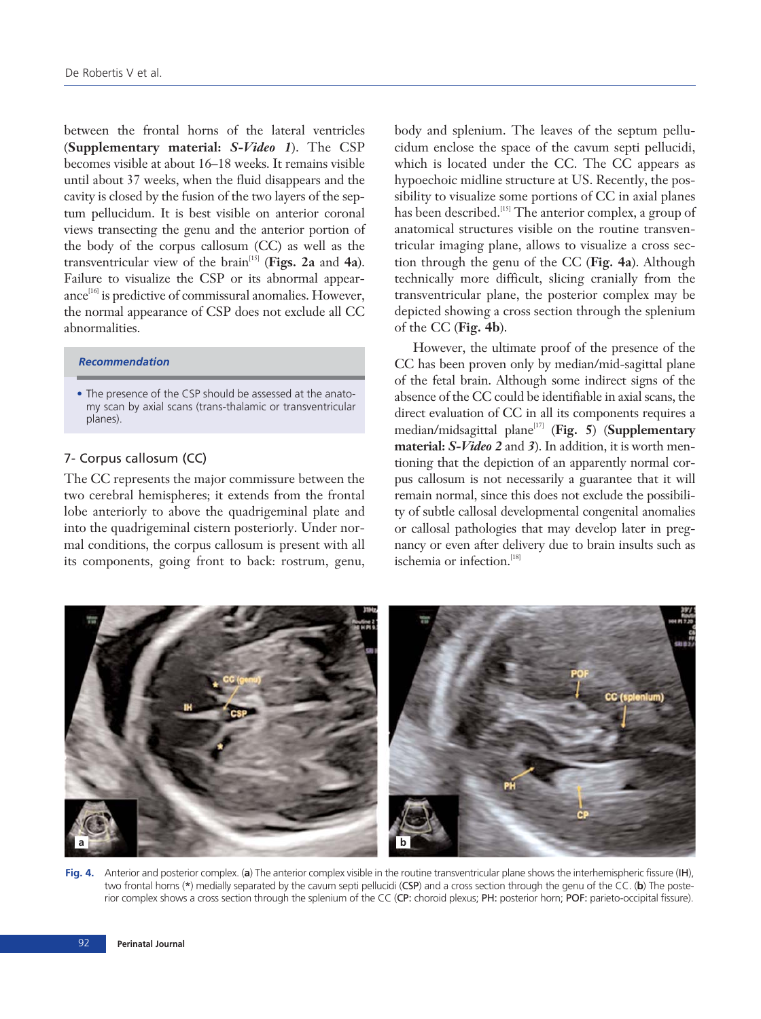between the frontal horns of the lateral ventricles (**Supplementary material:** *S-Video 1*). The CSP becomes visible at about 16–18 weeks. It remains visible until about 37 weeks, when the fluid disappears and the cavity is closed by the fusion of the two layers of the septum pellucidum. It is best visible on anterior coronal views transecting the genu and the anterior portion of the body of the corpus callosum (CC) as well as the transventricular view of the brain[15] (**Figs. 2a** and **4a**). Failure to visualize the CSP or its abnormal appearance<sup>[16]</sup> is predictive of commissural anomalies. However, the normal appearance of CSP does not exclude all CC abnormalities.

## *Recommendation*

• The presence of the CSP should be assessed at the anatomy scan by axial scans (trans-thalamic or transventricular planes).

# 7- Corpus callosum (CC)

The CC represents the major commissure between the two cerebral hemispheres; it extends from the frontal lobe anteriorly to above the quadrigeminal plate and into the quadrigeminal cistern posteriorly. Under normal conditions, the corpus callosum is present with all its components, going front to back: rostrum, genu, body and splenium. The leaves of the septum pellucidum enclose the space of the cavum septi pellucidi, which is located under the CC. The CC appears as hypoechoic midline structure at US. Recently, the possibility to visualize some portions of CC in axial planes has been described.<sup>[15]</sup> The anterior complex, a group of anatomical structures visible on the routine transventricular imaging plane, allows to visualize a cross section through the genu of the CC (**Fig. 4a**). Although technically more difficult, slicing cranially from the transventricular plane, the posterior complex may be depicted showing a cross section through the splenium of the CC (**Fig. 4b**).

However, the ultimate proof of the presence of the CC has been proven only by median/mid-sagittal plane of the fetal brain. Although some indirect signs of the absence of the CC could be identifiable in axial scans, the direct evaluation of CC in all its components requires a median/midsagittal plane[17] (**Fig. 5**) (**Supplementary material:** *S-Video 2* and *3*). In addition, it is worth mentioning that the depiction of an apparently normal corpus callosum is not necessarily a guarantee that it will remain normal, since this does not exclude the possibility of subtle callosal developmental congenital anomalies or callosal pathologies that may develop later in pregnancy or even after delivery due to brain insults such as ischemia or infection.<sup>[18]</sup>



**Fig. 4.** Anterior and posterior complex. (**a**) The anterior complex visible in the routine transventricular plane shows the interhemispheric fissure (IH), two frontal horns (\*) medially separated by the cavum septi pellucidi (CSP) and a cross section through the genu of the CC. (**b**) The posterior complex shows a cross section through the splenium of the CC (CP: choroid plexus; PH: posterior horn; POF: parieto-occipital fissure).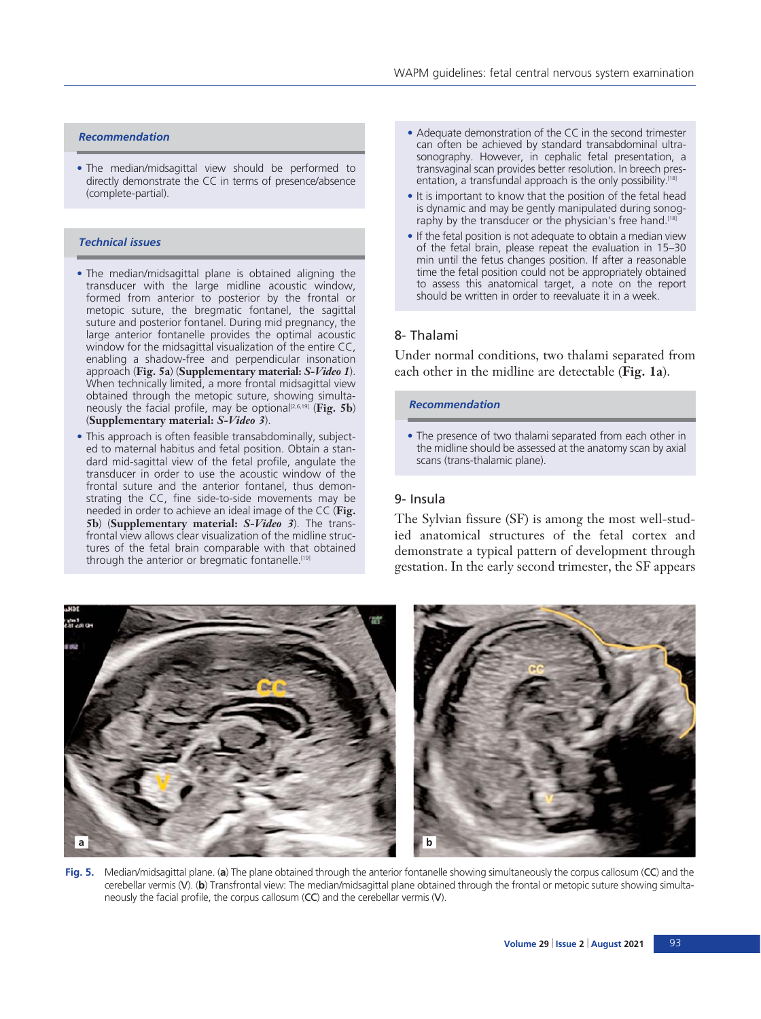#### *Recommendation*

• The median/midsagittal view should be performed to directly demonstrate the CC in terms of presence/absence (complete-partial).

## *Technical issues*

- The median/midsagittal plane is obtained aligning the transducer with the large midline acoustic window, formed from anterior to posterior by the frontal or metopic suture, the bregmatic fontanel, the sagittal suture and posterior fontanel. During mid pregnancy, the large anterior fontanelle provides the optimal acoustic window for the midsagittal visualization of the entire CC, enabling a shadow-free and perpendicular insonation approach (**Fig. 5a**) (**Supplementary material:** *S-Video 1*). When technically limited, a more frontal midsagittal view obtained through the metopic suture, showing simultaneously the facial profile, may be optional[2,6,19] (**Fig. 5b**) (**Supplementary material:** *S-Video 3*).
- This approach is often feasible transabdominally, subjected to maternal habitus and fetal position. Obtain a standard mid-sagittal view of the fetal profile, angulate the transducer in order to use the acoustic window of the frontal suture and the anterior fontanel, thus demonstrating the CC, fine side-to-side movements may be needed in order to achieve an ideal image of the CC (**Fig. 5b**) (**Supplementary material:** *S-Video 3*). The transfrontal view allows clear visualization of the midline structures of the fetal brain comparable with that obtained through the anterior or bregmatic fontanelle.<sup>[19]</sup>
- Adequate demonstration of the CC in the second trimester can often be achieved by standard transabdominal ultrasonography. However, in cephalic fetal presentation, a transvaginal scan provides better resolution. In breech presentation, a transfundal approach is the only possibility.<sup>[18]</sup>
- It is important to know that the position of the fetal head is dynamic and may be gently manipulated during sonography by the transducer or the physician's free hand.<sup>[18]</sup>
- If the fetal position is not adequate to obtain a median view of the fetal brain, please repeat the evaluation in 15–30 min until the fetus changes position. If after a reasonable time the fetal position could not be appropriately obtained to assess this anatomical target, a note on the report should be written in order to reevaluate it in a week.

## 8- Thalami

Under normal conditions, two thalami separated from each other in the midline are detectable (**Fig. 1a**).

#### *Recommendation*

• The presence of two thalami separated from each other in the midline should be assessed at the anatomy scan by axial scans (trans-thalamic plane).

#### 9- Insula

The Sylvian fissure (SF) is among the most well-studied anatomical structures of the fetal cortex and demonstrate a typical pattern of development through gestation. In the early second trimester, the SF appears



**Fig. 5.** Median/midsagittal plane. (**a**) The plane obtained through the anterior fontanelle showing simultaneously the corpus callosum (CC) and the cerebellar vermis (V). (**b**) Transfrontal view: The median/midsagittal plane obtained through the frontal or metopic suture showing simultaneously the facial profile, the corpus callosum (CC) and the cerebellar vermis (V).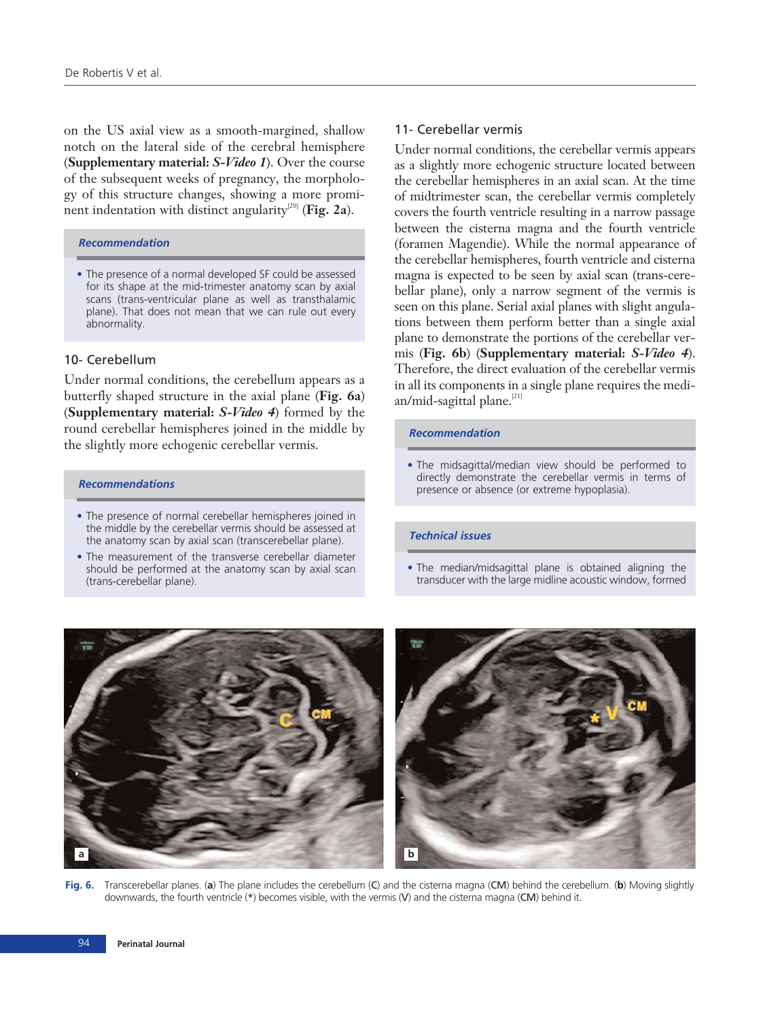on the US axial view as a smooth-margined, shallow notch on the lateral side of the cerebral hemisphere (**Supplementary material:** *S-Video 1*). Over the course of the subsequent weeks of pregnancy, the morphology of this structure changes, showing a more prominent indentation with distinct angularity<sup>[20]</sup> (**Fig. 2a**).

#### *Recommendation*

• The presence of a normal developed SF could be assessed for its shape at the mid-trimester anatomy scan by axial scans (trans-ventricular plane as well as transthalamic plane). That does not mean that we can rule out every abnormality.

# 10- Cerebellum

Under normal conditions, the cerebellum appears as a butterfly shaped structure in the axial plane (**Fig. 6a**) (**Supplementary material:** *S-Video 4*) formed by the round cerebellar hemispheres joined in the middle by the slightly more echogenic cerebellar vermis.

#### *Recommendations*

- The presence of normal cerebellar hemispheres joined in the middle by the cerebellar vermis should be assessed at the anatomy scan by axial scan (transcerebellar plane).
- The measurement of the transverse cerebellar diameter should be performed at the anatomy scan by axial scan (trans-cerebellar plane).

## 11- Cerebellar vermis

Under normal conditions, the cerebellar vermis appears as a slightly more echogenic structure located between the cerebellar hemispheres in an axial scan. At the time of midtrimester scan, the cerebellar vermis completely covers the fourth ventricle resulting in a narrow passage between the cisterna magna and the fourth ventricle (foramen Magendie). While the normal appearance of the cerebellar hemispheres, fourth ventricle and cisterna magna is expected to be seen by axial scan (trans-cerebellar plane), only a narrow segment of the vermis is seen on this plane. Serial axial planes with slight angulations between them perform better than a single axial plane to demonstrate the portions of the cerebellar vermis (**Fig. 6b**) (**Supplementary material:** *S-Video 4*). Therefore, the direct evaluation of the cerebellar vermis in all its components in a single plane requires the median/mid-sagittal plane.<sup>[21]</sup>

#### *Recommendation*

• The midsagittal/median view should be performed to directly demonstrate the cerebellar vermis in terms of presence or absence (or extreme hypoplasia).

#### *Technical issues*

• The median/midsagittal plane is obtained aligning the transducer with the large midline acoustic window, formed



**Fig. 6.** Transcerebellar planes. (**a**) The plane includes the cerebellum (C) and the cisterna magna (CM) behind the cerebellum. (**b**) Moving slightly downwards, the fourth ventricle (\*) becomes visible, with the vermis (V) and the cisterna magna (CM) behind it.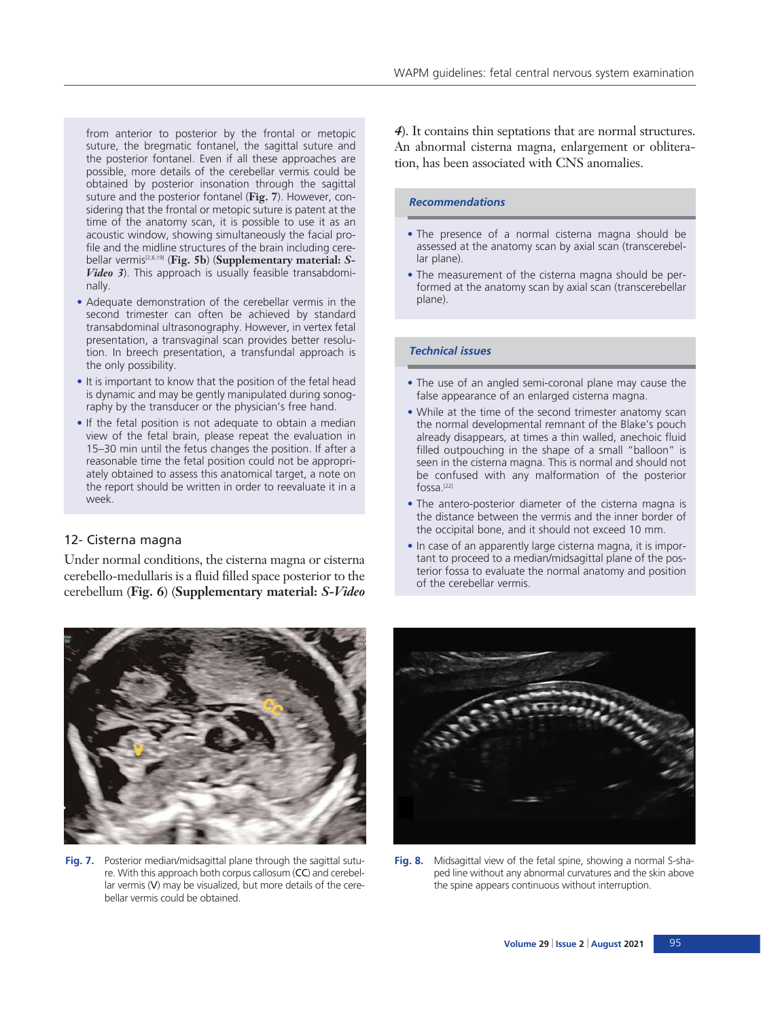from anterior to posterior by the frontal or metopic suture, the bregmatic fontanel, the sagittal suture and the posterior fontanel. Even if all these approaches are possible, more details of the cerebellar vermis could be obtained by posterior insonation through the sagittal suture and the posterior fontanel (**Fig. 7**). However, considering that the frontal or metopic suture is patent at the time of the anatomy scan, it is possible to use it as an acoustic window, showing simultaneously the facial profile and the midline structures of the brain including cerebellar vermis[2,6,19] (**Fig. 5b**) (**Supplementary material:** *S-Video 3*). This approach is usually feasible transabdominally.

- Adequate demonstration of the cerebellar vermis in the second trimester can often be achieved by standard transabdominal ultrasonography. However, in vertex fetal presentation, a transvaginal scan provides better resolution. In breech presentation, a transfundal approach is the only possibility.
- It is important to know that the position of the fetal head is dynamic and may be gently manipulated during sonography by the transducer or the physician's free hand.
- If the fetal position is not adequate to obtain a median view of the fetal brain, please repeat the evaluation in 15–30 min until the fetus changes the position. If after a reasonable time the fetal position could not be appropriately obtained to assess this anatomical target, a note on the report should be written in order to reevaluate it in a week.

## 12- Cisterna magna

Under normal conditions, the cisterna magna or cisterna cerebello-medullaris is a fluid filled space posterior to the cerebellum (**Fig. 6**) (**Supplementary material:** *S-Video*

*4*). It contains thin septations that are normal structures. An abnormal cisterna magna, enlargement or obliteration, has been associated with CNS anomalies.

WAPM guidelines: fetal central nervous system examination

## *Recommendations*

- The presence of a normal cisterna magna should be assessed at the anatomy scan by axial scan (transcerebellar plane).
- The measurement of the cisterna magna should be performed at the anatomy scan by axial scan (transcerebellar plane).

## *Technical issues*

- The use of an angled semi-coronal plane may cause the false appearance of an enlarged cisterna magna.
- While at the time of the second trimester anatomy scan the normal developmental remnant of the Blake's pouch already disappears, at times a thin walled, anechoic fluid filled outpouching in the shape of a small "balloon" is seen in the cisterna magna. This is normal and should not be confused with any malformation of the posterior fossa.[22]
- The antero-posterior diameter of the cisterna magna is the distance between the vermis and the inner border of the occipital bone, and it should not exceed 10 mm.
- In case of an apparently large cisterna magna, it is important to proceed to a median/midsagittal plane of the posterior fossa to evaluate the normal anatomy and position of the cerebellar vermis.



**Fig. 7.** Posterior median/midsagittal plane through the sagittal suture. With this approach both corpus callosum (CC) and cerebellar vermis (V) may be visualized, but more details of the cerebellar vermis could be obtained.



**Fig. 8.** Midsagittal view of the fetal spine, showing a normal S-shaped line without any abnormal curvatures and the skin above the spine appears continuous without interruption.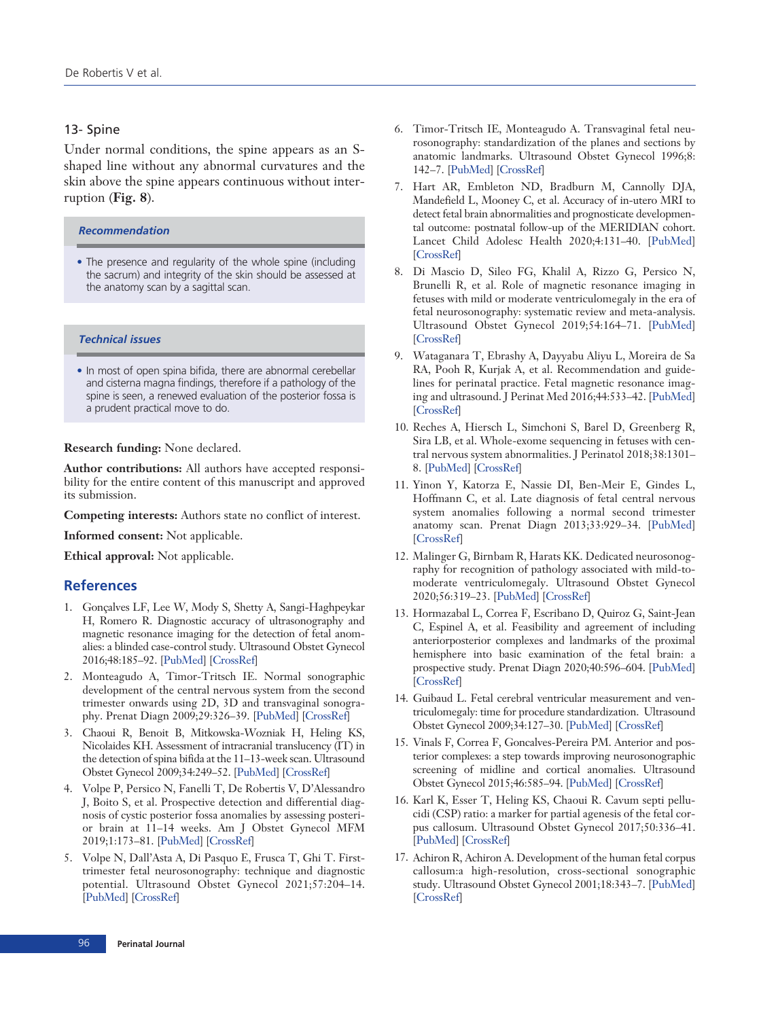# 13- Spine

Under normal conditions, the spine appears as an Sshaped line without any abnormal curvatures and the skin above the spine appears continuous without interruption (**Fig. 8**).

*Recommendation*

• The presence and regularity of the whole spine (including the sacrum) and integrity of the skin should be assessed at the anatomy scan by a sagittal scan.

## *Technical issues*

• In most of open spina bifida, there are abnormal cerebellar and cisterna magna findings, therefore if a pathology of the spine is seen, a renewed evaluation of the posterior fossa is a prudent practical move to do.

**Research funding:** None declared.

**Author contributions:** All authors have accepted responsibility for the entire content of this manuscript and approved its submission.

**Competing interests:** Authors state no conflict of interest.

**Informed consent:** Not applicable.

**Ethical approval:** Not applicable.

## **References**

- 1. Gonçalves LF, Lee W, Mody S, Shetty A, Sangi-Haghpeykar H, Romero R. Diagnostic accuracy of ultrasonography and magnetic resonance imaging for the detection of fetal anomalies: a blinded case-control study. Ultrasound Obstet Gynecol 2016;48:185–92. [[PubMed\]](http://www.ncbi.nlm.nih.gov/pubmed/26444861) [\[CrossRef\]](http://dx.doi.org/10.1002/uog.15774)
- 2. Monteagudo A, Timor-Tritsch IE. Normal sonographic development of the central nervous system from the second trimester onwards using 2D, 3D and transvaginal sonography. Prenat Diagn 2009;29:326–39. [[PubMed\]](http://www.ncbi.nlm.nih.gov/pubmed/19003788) [\[CrossRef](http://dx.doi.org/10.1002/pd.2146)]
- 3. Chaoui R, Benoit B, Mitkowska-Wozniak H, Heling KS, Nicolaides KH. Assessment of intracranial translucency (IT) in the detection of spina bifida at the 11–13-week scan. Ultrasound Obstet Gynecol 2009;34:249–52. [\[PubMed\]](http://www.ncbi.nlm.nih.gov/pubmed/1970540) [\[CrossRef\]](http://dx.doi.org/10.1002/uog.7329)
- 4. Volpe P, Persico N, Fanelli T, De Robertis V, D'Alessandro J, Boito S, et al. Prospective detection and differential diagnosis of cystic posterior fossa anomalies by assessing posterior brain at 11–14 weeks. Am J Obstet Gynecol MFM 2019;1:173–81. [\[PubMed\]](http://www.ncbi.nlm.nih.gov/pubmed/3334582) [[CrossRef\]](http://dx.doi.org/10.1016/j.ajogmf.2019.06.004)
- 5. Volpe N, Dall'Asta A, Di Pasquo E, Frusca T, Ghi T. Firsttrimester fetal neurosonography: technique and diagnostic potential. Ultrasound Obstet Gynecol 2021;57:204–14. [[PubMed](http://www.ncbi.nlm.nih.gov/pubmed/33049801)] [\[CrossRef\]](http://dx.doi.org/10.1002/uog.23149)
- 6. Timor-Tritsch IE, Monteagudo A. Transvaginal fetal neurosonography: standardization of the planes and sections by anatomic landmarks. Ultrasound Obstet Gynecol 1996;8: 142–7. [\[PubMed](http://www.ncbi.nlm.nih.gov/pubmed/8843619)] [[CrossRef\]](http://dx.doi.org/10.1046/j.1469-0705.1996.08010042.x)
- 7. Hart AR, Embleton ND, Bradburn M, Cannolly DJA, Mandefield L, Mooney C, et al. Accuracy of in-utero MRI to detect fetal brain abnormalities and prognosticate developmental outcome: postnatal follow-up of the MERIDIAN cohort. Lancet Child Adolesc Health 2020;4:131–40. [[PubMed](http://www.ncbi.nlm.nih.gov/pubmed/31786091)] [[CrossRef\]](http://dx.doi.org/10.1016/S2352-4642(19)30349-9)
- 8. Di Mascio D, Sileo FG, Khalil A, Rizzo G, Persico N, Brunelli R, et al. Role of magnetic resonance imaging in fetuses with mild or moderate ventriculomegaly in the era of fetal neurosonography: systematic review and meta-analysis. Ultrasound Obstet Gynecol 2019;54:164–71. [\[PubMed](http://www.ncbi.nlm.nih.gov/pubmed/30549340)] [[CrossRef\]](http://dx.doi.org/10.1002/uog.20197)
- 9. Wataganara T, Ebrashy A, Dayyabu Aliyu L, Moreira de Sa RA, Pooh R, Kurjak A, et al. Recommendation and guidelines for perinatal practice. Fetal magnetic resonance imaging and ultrasound. J Perinat Med 2016;44:533–42. [[PubMed](http://www.ncbi.nlm.nih.gov/pubmed/27092644)] [[CrossRef\]](http://dx.doi.org/10.1515/jpm-2015-0226)
- 10. Reches A, Hiersch L, Simchoni S, Barel D, Greenberg R, Sira LB, et al. Whole-exome sequencing in fetuses with central nervous system abnormalities. J Perinatol 2018;38:1301– 8. [[PubMed\]](http://www.ncbi.nlm.nih.gov/pubmed/30108342) [\[CrossRef](http://dx.doi.org/10.1038/s41372-018-0199-3)]
- 11. Yinon Y, Katorza E, Nassie DI, Ben-Meir E, Gindes L, Hoffmann C, et al. Late diagnosis of fetal central nervous system anomalies following a normal second trimester anatomy scan. Prenat Diagn 2013;33:929–34. [[PubMed](http://www.ncbi.nlm.nih.gov/pubmed/23712473)] [[CrossRef\]](http://dx.doi.org/10.1002/pd.4163)
- 12. Malinger G, Birnbam R, Harats KK. Dedicated neurosonography for recognition of pathology associated with mild-tomoderate ventriculomegaly. Ultrasound Obstet Gynecol 2020;56:319–23. [\[PubMed\]](http://www.ncbi.nlm.nih.gov/pubmed/32870586) [[CrossRef\]](http://dx.doi.org/10.1002/uog.22155)
- 13. Hormazabal L, Correa F, Escribano D, Quiroz G, Saint-Jean C, Espinel A, et al. Feasibility and agreement of including anteriorposterior complexes and landmarks of the proximal hemisphere into basic examination of the fetal brain: a prospective study. Prenat Diagn 2020;40:596–604. [[PubMed](http://www.ncbi.nlm.nih.gov/pubmed/31994747)] [[CrossRef](http://dx.doi.org/10.1002/pd.5652)]
- 14. Guibaud L. Fetal cerebral ventricular measurement and ventriculomegaly: time for procedure standardization. Ultrasound Obstet Gynecol 2009;34:127–30. [\[PubMed](http://www.ncbi.nlm.nih.gov/pubmed/19644945)] [[CrossRef\]](http://dx.doi.org/10.1002/uog.6456)
- 15. Vinals F, Correa F, Goncalves-Pereira PM. Anterior and posterior complexes: a step towards improving neurosonographic screening of midline and cortical anomalies. Ultrasound Obstet Gynecol 2015;46:585–94. [\[PubMed](http://www.ncbi.nlm.nih.gov/pubmed/25418054)] [[CrossRef\]](http://dx.doi.org/10.1002/uog.14735)
- 16. Karl K, Esser T, Heling KS, Chaoui R. Cavum septi pellucidi (CSP) ratio: a marker for partial agenesis of the fetal corpus callosum. Ultrasound Obstet Gynecol 2017;50:336–41. [[PubMed\]](http://www.ncbi.nlm.nih.gov/pubmed/28078790) [\[CrossRef](http://dx.doi.org/10.1002/uog.17409)]
- 17. Achiron R, Achiron A. Development of the human fetal corpus callosum:a high-resolution, cross-sectional sonographic study. Ultrasound Obstet Gynecol 2001;18:343–7. [\[PubMed](http://www.ncbi.nlm.nih.gov/pubmed/11778993)] [[CrossRef\]](http://dx.doi.org/10.1046/j.0960-7692.2001.00512.x)